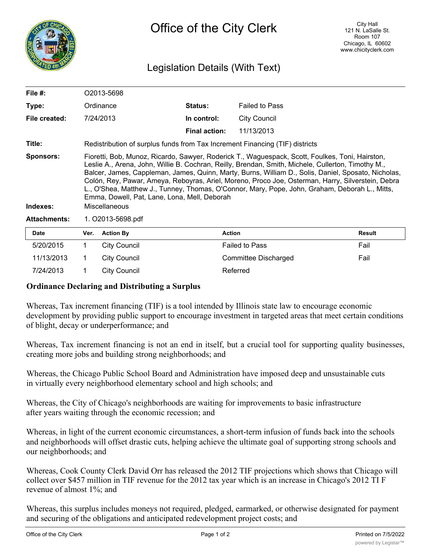

## Legislation Details (With Text)

| File #:                      | O2013-5698                                                                                                                                                                                                                                                                                                                                                                                                                                                                                                                                                                           |                                                                              |                      |                       |               |  |
|------------------------------|--------------------------------------------------------------------------------------------------------------------------------------------------------------------------------------------------------------------------------------------------------------------------------------------------------------------------------------------------------------------------------------------------------------------------------------------------------------------------------------------------------------------------------------------------------------------------------------|------------------------------------------------------------------------------|----------------------|-----------------------|---------------|--|
| Type:                        |                                                                                                                                                                                                                                                                                                                                                                                                                                                                                                                                                                                      | Ordinance                                                                    | <b>Status:</b>       | <b>Failed to Pass</b> |               |  |
| File created:                |                                                                                                                                                                                                                                                                                                                                                                                                                                                                                                                                                                                      | 7/24/2013                                                                    | In control:          | City Council          |               |  |
|                              |                                                                                                                                                                                                                                                                                                                                                                                                                                                                                                                                                                                      |                                                                              | <b>Final action:</b> | 11/13/2013            |               |  |
| Title:                       |                                                                                                                                                                                                                                                                                                                                                                                                                                                                                                                                                                                      | Redistribution of surplus funds from Tax Increment Financing (TIF) districts |                      |                       |               |  |
| <b>Sponsors:</b><br>Indexes: | Fioretti, Bob, Munoz, Ricardo, Sawyer, Roderick T., Waguespack, Scott, Foulkes, Toni, Hairston,<br>Leslie A., Arena, John, Willie B. Cochran, Reilly, Brendan, Smith, Michele, Cullerton, Timothy M.,<br>Balcer, James, Cappleman, James, Quinn, Marty, Burns, William D., Solis, Daniel, Sposato, Nicholas,<br>Colón, Rey, Pawar, Ameya, Reboyras, Ariel, Moreno, Proco Joe, Osterman, Harry, Silverstein, Debra<br>L., O'Shea, Matthew J., Tunney, Thomas, O'Connor, Mary, Pope, John, Graham, Deborah L., Mitts,<br>Emma, Dowell, Pat, Lane, Lona, Mell, Deborah<br>Miscellaneous |                                                                              |                      |                       |               |  |
| <b>Attachments:</b>          | 1. O2013-5698.pdf                                                                                                                                                                                                                                                                                                                                                                                                                                                                                                                                                                    |                                                                              |                      |                       |               |  |
| <b>Date</b>                  | Ver.                                                                                                                                                                                                                                                                                                                                                                                                                                                                                                                                                                                 | <b>Action By</b>                                                             |                      | <b>Action</b>         | <b>Result</b> |  |
| 5/20/2015                    | 1                                                                                                                                                                                                                                                                                                                                                                                                                                                                                                                                                                                    | City Council                                                                 |                      | <b>Failed to Pass</b> | Fail          |  |
| 11/13/2013                   |                                                                                                                                                                                                                                                                                                                                                                                                                                                                                                                                                                                      | <b>City Council</b>                                                          |                      | Committee Discharged  | Fail          |  |

## **Ordinance Declaring and Distributing a Surplus**

7/24/2013 1 City Council Referred

Whereas, Tax increment financing (TIF) is a tool intended by Illinois state law to encourage economic development by providing public support to encourage investment in targeted areas that meet certain conditions of blight, decay or underperformance; and

Whereas, Tax increment financing is not an end in itself, but a crucial tool for supporting quality businesses, creating more jobs and building strong neighborhoods; and

Whereas, the Chicago Public School Board and Administration have imposed deep and unsustainable cuts in virtually every neighborhood elementary school and high schools; and

Whereas, the City of Chicago's neighborhoods are waiting for improvements to basic infrastructure after years waiting through the economic recession; and

Whereas, in light of the current economic circumstances, a short-term infusion of funds back into the schools and neighborhoods will offset drastic cuts, helping achieve the ultimate goal of supporting strong schools and our neighborhoods; and

Whereas, Cook County Clerk David Orr has released the 2012 TIF projections which shows that Chicago will collect over \$457 million in TIF revenue for the 2012 tax year which is an increase in Chicago's 2012 TI F revenue of almost 1%; and

Whereas, this surplus includes moneys not required, pledged, earmarked, or otherwise designated for payment and securing of the obligations and anticipated redevelopment project costs; and